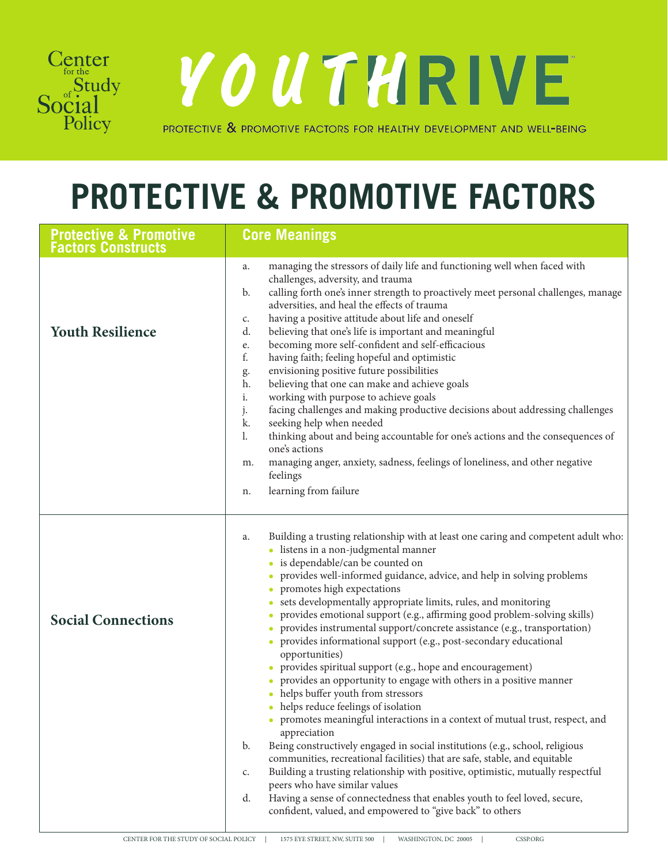

YOUTHRIVE

PROTECTIVE & PROMOTIVE FACTORS FOR HEALTHY DEVELOPMENT AND WELL-BEING

## **PROTECTIVE & PROMOTIVE FACTORS**

| <b>Protective &amp; Promotive</b><br><b>Factors Constructs</b> | <b>Core Meanings</b>                                                                                                                                                                                                                                                                                                                                                                                                                                                                                                                                                                                                                                                                                                                                                                                                                                                                                                                                                                                                                                                                                                                                                                                                                                                                                                                                    |
|----------------------------------------------------------------|---------------------------------------------------------------------------------------------------------------------------------------------------------------------------------------------------------------------------------------------------------------------------------------------------------------------------------------------------------------------------------------------------------------------------------------------------------------------------------------------------------------------------------------------------------------------------------------------------------------------------------------------------------------------------------------------------------------------------------------------------------------------------------------------------------------------------------------------------------------------------------------------------------------------------------------------------------------------------------------------------------------------------------------------------------------------------------------------------------------------------------------------------------------------------------------------------------------------------------------------------------------------------------------------------------------------------------------------------------|
| <b>Youth Resilience</b>                                        | managing the stressors of daily life and functioning well when faced with<br>a.<br>challenges, adversity, and trauma<br>calling forth one's inner strength to proactively meet personal challenges, manage<br>b.<br>adversities, and heal the effects of trauma<br>having a positive attitude about life and oneself<br>c.<br>believing that one's life is important and meaningful<br>d.<br>becoming more self-confident and self-efficacious<br>e.<br>f.<br>having faith; feeling hopeful and optimistic<br>envisioning positive future possibilities<br>g.<br>believing that one can make and achieve goals<br>h.<br>i.<br>working with purpose to achieve goals<br>facing challenges and making productive decisions about addressing challenges<br>j.<br>k.<br>seeking help when needed<br>thinking about and being accountable for one's actions and the consequences of<br>l.<br>one's actions<br>managing anger, anxiety, sadness, feelings of loneliness, and other negative<br>m.<br>feelings<br>learning from failure<br>n.                                                                                                                                                                                                                                                                                                                  |
| <b>Social Connections</b>                                      | Building a trusting relationship with at least one caring and competent adult who:<br>a.<br>listens in a non-judgmental manner<br>is dependable/can be counted on<br>provides well-informed guidance, advice, and help in solving problems<br>promotes high expectations<br>sets developmentally appropriate limits, rules, and monitoring<br>provides emotional support (e.g., affirming good problem-solving skills)<br>provides instrumental support/concrete assistance (e.g., transportation)<br>provides informational support (e.g., post-secondary educational<br>opportunities)<br>provides spiritual support (e.g., hope and encouragement)<br>provides an opportunity to engage with others in a positive manner<br>helps buffer youth from stressors<br>• helps reduce feelings of isolation<br>• promotes meaningful interactions in a context of mutual trust, respect, and<br>appreciation<br>Being constructively engaged in social institutions (e.g., school, religious<br>b.<br>communities, recreational facilities) that are safe, stable, and equitable<br>Building a trusting relationship with positive, optimistic, mutually respectful<br>c.<br>peers who have similar values<br>Having a sense of connectedness that enables youth to feel loved, secure,<br>d.<br>confident, valued, and empowered to "give back" to others |